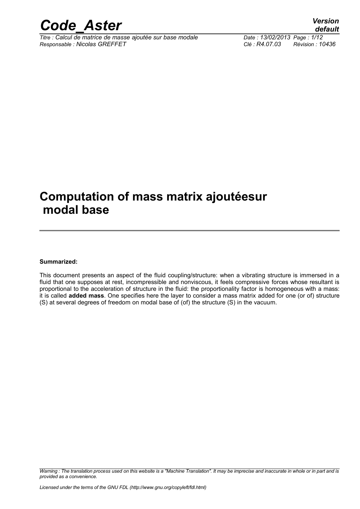

*Titre : Calcul de matrice de masse ajoutée sur base modale Date : 13/02/2013 Page : 1/12 Responsable : Nicolas GREFFET Clé : R4.07.03 Révision : 10436*

*default*

## **Computation of mass matrix ajoutéesur modal base**

#### **Summarized:**

This document presents an aspect of the fluid coupling/structure: when a vibrating structure is immersed in a fluid that one supposes at rest, incompressible and nonviscous, it feels compressive forces whose resultant is proportional to the acceleration of structure in the fluid: the proportionality factor is homogeneous with a mass: it is called **added mass**. One specifies here the layer to consider a mass matrix added for one (or of) structure (S) at several degrees of freedom on modal base of (of) the structure (S) in the vacuum.

*Warning : The translation process used on this website is a "Machine Translation". It may be imprecise and inaccurate in whole or in part and is provided as a convenience.*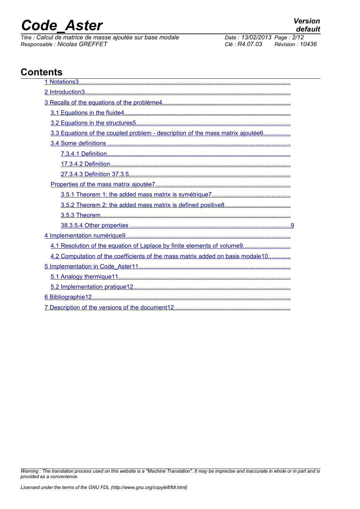*Titre : Calcul de matrice de masse ajoutée sur base modale Responsable : Nicolas GREFFET Clé : R4.07.03 Révision : 10436*

## **Contents**

| 3.3 Equations of the coupled problem - description of the mass matrix ajoutée6 |
|--------------------------------------------------------------------------------|
|                                                                                |
|                                                                                |
|                                                                                |
|                                                                                |
|                                                                                |
|                                                                                |
|                                                                                |
|                                                                                |
|                                                                                |
|                                                                                |
| 4.1 Resolution of the equation of Laplace by finite elements of volume9        |
| 4.2 Computation of the coefficients of the mass matrix added on basis modale10 |
|                                                                                |
|                                                                                |
|                                                                                |
|                                                                                |
|                                                                                |

*Warning : The translation process used on this website is a "Machine Translation". It may be imprecise and inaccurate in whole or in part and is provided as a convenience.*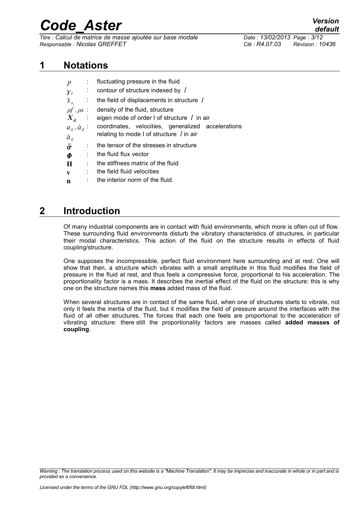*Titre : Calcul de matrice de masse ajoutée sur base modale Date : 13/02/2013 Page : 3/12 Responsable : Nicolas GREFFET Clé : R4.07.03 Révision : 10436*

#### **1 Notations**

<span id="page-2-0"></span>

| $\boldsymbol{p}$            | $\sim$    | fluctuating pressure in the fluid                             |  |  |
|-----------------------------|-----------|---------------------------------------------------------------|--|--|
| $\mathcal{Y}_l$             | ÷.        | contour of structure indexed by l                             |  |  |
| $\ddot{x}_{s_i}$            | $\sim 10$ | the field of displacements in structure $l$                   |  |  |
| $\rho f$ , $\rho s$ :       |           | density of the fluid, structure                               |  |  |
|                             |           | $X_{ii}$ : eigen mode of order I of structure <i>l</i> in air |  |  |
| $a_{ii}$ , $\dot{a}_{ii}$ : |           | coordinates, velocities, generalized accelerations            |  |  |
| $\ddot{a}_{il}$             |           | relating to mode I of structure $\ell$ in air                 |  |  |
| $\bar{\bar{\sigma}}$        |           | the tensor of the stresses in structure                       |  |  |
| $\boldsymbol{\Phi}$         |           | the fluid flux vector                                         |  |  |
| H                           | ÷         | the stiffness matrix of the fluid                             |  |  |
| $\mathbf{V}$                | ÷         | the field fluid velocities                                    |  |  |

**n** : the interior norm of the fluid.

## **2 Introduction**

<span id="page-2-1"></span>Of many industrial components are in contact with fluid environments, which more is often out of flow. These surrounding fluid environments disturb the vibratory characteristics of structures, in particular their modal characteristics. This action of the fluid on the structure results in effects of fluid coupling/structure.

One supposes the incompressible, perfect fluid environment here surrounding and at rest. One will show that then, a structure which vibrates with a small amplitude in this fluid modifies the field of pressure in the fluid at rest, and thus feels a compressive force, proportional to his acceleration. The proportionality factor is a mass. It describes the inertial effect of the fluid on the structure: this is why one on the structure names this **mass** added mass of the fluid.

When several structures are in contact of the same fluid, when one of structures starts to vibrate, not only it feels the inertia of the fluid, but it modifies the field of pressure around the interfaces with the fluid of all other structures. The forces that each one feels are proportional to the acceleration of vibrating structure: there still the proportionality factors are masses called **added masses of coupling**.

*Warning : The translation process used on this website is a "Machine Translation". It may be imprecise and inaccurate in whole or in part and is provided as a convenience.*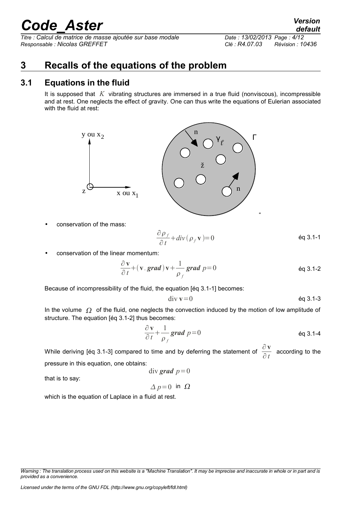*Titre : Calcul de matrice de masse ajoutée sur base modale Date : 13/02/2013 Page : 4/12 Responsable : Nicolas GREFFET Clé : R4.07.03 Révision : 10436*

## <span id="page-3-1"></span>**3 Recalls of the equations of the problem**

### **3.1 Equations in the fluid**

<span id="page-3-0"></span>It is supposed that *K* vibrating structures are immersed in a true fluid (nonviscous), incompressible and at rest. One neglects the effect of gravity. One can thus write the equations of Eulerian associated with the fluid at rest:



• conservation of the mass:

$$
\frac{\partial \rho_f}{\partial t} + \text{div}(\rho_f \mathbf{v}) = 0
$$
 \t\t\t $\text{eq } 3.1 - 1$ 

• conservation of the linear momentum:

$$
\frac{\partial \mathbf{v}}{\partial t} + (\mathbf{v} \cdot \mathbf{grad}) \mathbf{v} + \frac{1}{\rho_f} \mathbf{grad} \ p = 0
$$
 eq 3.1-2

Because of incompressibility of the fluid, the equation [éq 3.1-1] becomes:

$$
\text{div } \mathbf{v} = 0 \qquad \qquad \text{Eq 3.1-3}
$$

In the volume  $\Omega$  of the fluid, one neglects the convection induced by the motion of low amplitude of structure. The equation [éq 3.1-2] thus becomes:

$$
\frac{\partial \mathbf{v}}{\partial t} + \frac{1}{\rho_f} \mathbf{grad} \ p = 0
$$

While deriving [éq 3.1-3] compared to time and by deferring the statement of  $\frac{\partial \mathbf{v}}{\partial x}$  $\frac{\partial^2 \mathbf{r}}{\partial t}$  according to the pressure in this equation, one obtains:

$$
div\ grad\ p=0
$$

that is to say:

$$
\Delta p = 0 \text{ in } \Omega
$$

which is the equation of Laplace in a fluid at rest.

*default*

*Warning : The translation process used on this website is a "Machine Translation". It may be imprecise and inaccurate in whole or in part and is provided as a convenience.*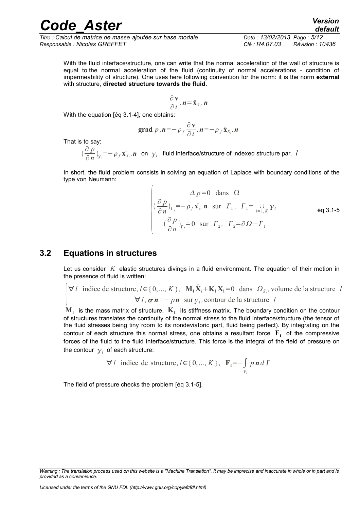*Titre : Calcul de matrice de masse ajoutée sur base modale Date : 13/02/2013 Page : 5/12 Responsable : Nicolas GREFFET Clé : R4.07.03 Révision : 10436*

With the fluid interface/structure, one can write that the normal acceleration of the wall of structure is equal to the normal acceleration of the fluid (continuity of normal accelerations - condition of impermeability of structure). One uses here following convention for the norm: it is the norm **external** with structure, **directed structure towards the fluid.**

$$
\frac{\partial \mathbf{v}}{\partial t} \cdot \mathbf{n} = \ddot{\mathbf{x}}_{S_i} \cdot \mathbf{n}
$$

With the equation [éq 3.1-4], one obtains:

grad 
$$
p \cdot n = -\rho_f \frac{\partial v}{\partial t} \cdot n = -\rho_f \ddot{x}_{S_i} \cdot n
$$

That is to say:

 ∂ *p*  $\frac{\partial^2 P}{\partial n}\bigg|_{y_i} = -\rho_f \, \dot{x_{S_i}}.$  **n** on  $y_l$  , fluid interface/structure of indexed structure par. *l* 

In short, the fluid problem consists in solving an equation of Laplace with boundary conditions of the type von Neumann:

$$
\Delta p=0 \text{ dans } \Omega
$$
\n
$$
\left( \frac{\partial p}{\partial n} \right)_{\Gamma_1} = -\rho_f \mathbf{x}_s.\mathbf{n} \text{ sur } \Gamma_1, \Gamma_1 = \bigcup_{l=1,K} \gamma_l \qquad \text{eq 3.1-5}
$$
\n
$$
\left( \frac{\partial p}{\partial n} \right)_{\Gamma_2} = 0 \text{ sur } \Gamma_2, \Gamma_2 = \partial \Omega - \Gamma_1
$$

#### **3.2 Equations in structures**

<span id="page-4-0"></span>Let us consider *K* elastic structures divings in a fluid environment. The equation of their motion in the presence of fluid is written:

$$
\forall l \text{ induce de structure}, l \in \{0, ..., K\}, \mathbf{M}_1 \ddot{\mathbf{X}}_l + \mathbf{K}_1 \mathbf{X}_l = 0 \text{ dans } \Omega_{S_i}, \text{ volume de la structure } l
$$
  

$$
\forall l, \overline{\sigma} \mathbf{n} = -p \mathbf{n} \text{ sur } \gamma_l, \text{ contour de la structure } l
$$

 $\mathbf{M}_1$  is the mass matrix of structure,  $|\mathbf{K}_1|$  its stiffness matrix. The boundary condition on the contour of structures translates the continuity of the normal stress to the fluid interface/structure (the tensor of the fluid stresses being tiny room to its nondeviatoric part, fluid being perfect). By integrating on the contour of each structure this normal stress, one obtains a resultant force  $\mathbf{F}_1$  of the compressive forces of the fluid to the fluid interface/structure. This force is the integral of the field of pressure on the contour  $\vert y_{l}\vert$  of each structure:

$$
\forall l \text{ induce de structure}, l \in \{0, ..., K\}, \ \mathbf{F}_1 = -\int_{\gamma_i} p \, \mathbf{n} \, d \, \Gamma
$$

The field of pressure checks the problem [éq 3.1-5].

*Warning : The translation process used on this website is a "Machine Translation". It may be imprecise and inaccurate in whole or in part and is provided as a convenience.*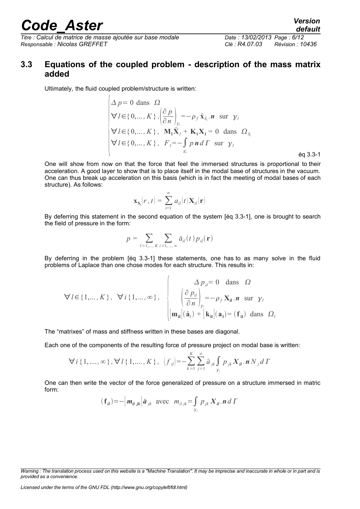*Titre : Calcul de matrice de masse ajoutée sur base modale Date : 13/02/2013 Page : 6/12 Responsable : Nicolas GREFFET Clé : R4.07.03 Révision : 10436*

# *default*

#### <span id="page-5-0"></span>**3.3 Equations of the coupled problem - description of the mass matrix added**

Ultimately, the fluid coupled problem/structure is written:

$$
\Delta p = 0 \text{ dans } \Omega
$$
\n
$$
\forall l \in \{0, ..., K\}, \left(\frac{\partial p}{\partial n}\right)_{y_i} = -\rho_f \mathbf{\ddot{x}}_{S_i}. \mathbf{n} \text{ sur } \gamma_l
$$
\n
$$
\forall l \in \{0, ..., K\}, \mathbf{M}_1 \mathbf{\ddot{X}}_l + \mathbf{K}_1 \mathbf{X}_l = 0 \text{ dans } \Omega_{S_i}
$$
\n
$$
\forall l \in \{0, ..., K\}, \ F_l = -\int_{S_l} p \mathbf{n} d\Gamma \text{ sur } \gamma_l
$$
\n
$$
\text{ éq 3.3-1}
$$

One will show from now on that the force that feel the immersed structures is proportional to their acceleration. A good layer to show that is to place itself in the modal base of structures in the vacuum. One can thus break up acceleration on this basis (which is in fact the meeting of modal bases of each structure). As follows:

$$
\mathbf{x}_{\mathbf{S}_i}(r,t) = \sum_{i=1}^{\infty} a_{il}(t) \mathbf{X}_{il}(\mathbf{r})
$$

By deferring this statement in the second equation of the system [éq 3.3-1], one is brought to search the field of pressure in the form:

$$
p = \sum_{l=1,\dots,K} \sum_{i=1,\dots,\infty} \ddot{a}_{il}(t) p_{il}(\mathbf{r})
$$

By deferring in the problem [éq 3.3-1] these statements, one has to as many solve in the fluid problems of Laplace than one chose modes for each structure. This results in:

$$
\forall l \in \{1, ..., K\}, \quad \forall i \{1, ..., \infty\}, \quad \begin{cases} \Delta p_{il} = 0 \quad \text{dans} \quad \Omega \\ \left(\frac{\partial p_{il}}{\partial n}\right)_{y_i} = -\rho_f \mathbf{X}_{il} . \mathbf{n} \quad \text{sur} \quad \gamma_l \\ \left[\mathbf{m}_{il} \right](\ddot{\mathbf{a}}_l) + \left[\mathbf{k}_{il}\right](\mathbf{a}_l) = (\mathbf{f}_{il}) \quad \text{dans} \quad \Omega_l \end{cases}
$$

The "matrixes" of mass and stiffness written in these bases are diagonal.

Each one of the components of the resulting force of pressure project on modal base is written:

$$
\forall i \{1, ..., \infty\}, \forall l \{1, ..., K\}, \ [f_{il}] = -\sum_{k=1}^{K} \sum_{j=1}^{\infty} \ddot{a}_{jk} \int_{\gamma_l} p_{jk} X_{il} . \mathbf{n} N_j d\Gamma
$$

One can then write the vector of the force generalized of pressure on a structure immersed in matric form:

$$
(\mathbf{f}_{il}) = -\left[\mathbf{m}_{il\ jk}\right]\ddot{\mathbf{a}}_{jk} \text{ avec } \mathbf{m}_{il\ jk} = \int_{\gamma_l} p_{jk} \, \mathbf{X}_{il} \cdot \mathbf{n} \, d\,\Gamma
$$

*Licensed under the terms of the GNU FDL (http://www.gnu.org/copyleft/fdl.html)*

*Warning : The translation process used on this website is a "Machine Translation". It may be imprecise and inaccurate in whole or in part and is provided as a convenience.*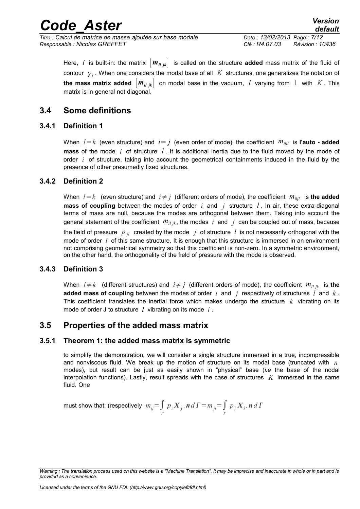*Titre : Calcul de matrice de masse ajoutée sur base modale Date : 13/02/2013 Page : 7/12 Responsable : Nicolas GREFFET Clé : R4.07.03 Révision : 10436*

#### <span id="page-6-5"></span>**3.4 Some definitions**

#### **3.4.1 Definition 1**

<span id="page-6-4"></span>When  $l = k$  (even structure) and  $i = j$  (even order of mode), the coefficient  $m_{jij}$  is l'auto - added **mass** of the mode *i* of structure *l* . It is additional inertia due to the fluid moved by the mode of order *i* of structure, taking into account the geometrical containments induced in the fluid by the presence of other presumedly fixed structures.

#### **3.4.2 Definition 2**

<span id="page-6-3"></span>When  $l = k$  (even structure) and  $i \neq j$  (different orders of mode), the coefficient  $m_{\text{diff}}$  is the added **mass of coupling** between the modes of order *i* and *j* structure *l* . In air, these extra-diagonal terms of mass are null, because the modes are orthogonal between them. Taking into account the general statement of the coefficient  $m_{i l / k}$ , the modes  $i$  and  $j$  can be coupled out of mass, because the field of pressure  $p_{jl}$  created by the mode  $j$  of structure  $l$  is not necessarily orthogonal with the mode of order *i* of this same structure. It is enough that this structure is immersed in an environment not comprising geometrical symmetry so that this coefficient is non-zero. In a symmetric environment, on the other hand, the orthogonality of the field of pressure with the mode is observed.

#### **3.4.3 Definition 3**

<span id="page-6-2"></span>When  $l \neq k$  (different structures) and  $i \neq j$  (different orders of mode), the coefficient  $m_{i l j k}$  is the **added mass of coupling** between the modes of order *i* and *j* respectively of structures *l* and *k* . This coefficient translates the inertial force which makes undergo the structure *k* vibrating on its mode of order J to structure *l* vibrating on its mode *i* .

#### <span id="page-6-1"></span>**3.5 Properties of the added mass matrix**

#### **3.5.1 Theorem 1: the added mass matrix is symmetric**

<span id="page-6-0"></span>to simplify the demonstration, we will consider a single structure immersed in a true, incompressible and nonviscous fluid. We break up the motion of structure on its modal base (truncated with *n* modes), but result can be just as easily shown in "physical" base (*i.e* the base of the nodal interpolation functions). Lastly, result spreads with the case of structures *K* immersed in the same fluid. One

must show that: (respectively 
$$
m_{ij} = \int_{\Gamma} p_i X_j
$$
.  $\mathbf{n} d\Gamma = m_{ji} = \int_{\Gamma} p_j X_i$ .  $\mathbf{n} d\Gamma$ 

*Warning : The translation process used on this website is a "Machine Translation". It may be imprecise and inaccurate in whole or in part and is provided as a convenience.*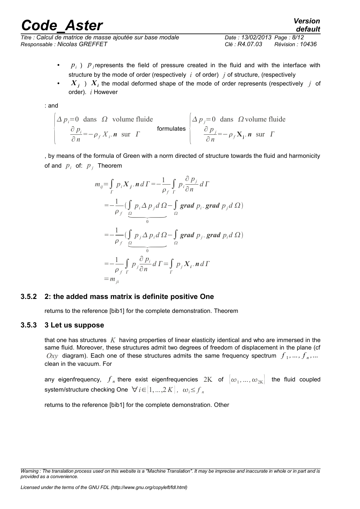*Titre : Calcul de matrice de masse ajoutée sur base modale Date : 13/02/2013 Page : 8/12 Responsable : Nicolas GREFFET Clé : R4.07.03 Révision : 10436*

- $p_i$ )  $p_j$  represents the field of pressure created in the fluid and with the interface with structure by the mode of order (respectively *i* of order) *j* of structure, (respectively
- $X_j$ )  $X_i$  the modal deformed shape of the mode of order represents (respectively  $j$  of order). *i* However

: and

$$
\left\{\begin{array}{ccc}\n\Delta p_i = 0 & \text{dans} & \Omega & \text{volume fluid} \\
\frac{\partial p_i}{\partial n} = -\rho_f X_i.\mathbf{n} & \text{sur} & \Gamma\n\end{array}\right.\n\left\{\n\begin{array}{ccc}\n\Delta p_j = 0 & \text{dans} & \Omega \text{ volume fluid} \\
\frac{\partial p_j}{\partial n} = -\rho_f X_j.\mathbf{n} & \text{sur} & \Gamma\n\end{array}\n\right.
$$

, by means of the formula of Green with a norm directed of structure towards the fluid and harmonicity of and  $p_i$  of:  $p_i$  Theorem

$$
m_{ij} = \int_{\Gamma} p_i X_j \cdot \mathbf{n} \, d\Gamma = -\frac{1}{\rho_f} \int_{\Gamma} p_i \frac{\partial p_j}{\partial n} \, d\Gamma
$$
  
\n
$$
= -\frac{1}{\rho_f} \left( \int_{\Omega} p_i \Delta p_j \, d\Omega - \int_{\Omega} \mathbf{grad} \ p_i \cdot \mathbf{grad} \ p_j \, d\Omega \right)
$$
  
\n
$$
= -\frac{1}{\rho_f} \left( \int_{\Omega} p_j \Delta p_i \, d\Omega - \int_{\Omega} \mathbf{grad} \ p_j \cdot \mathbf{grad} \ p_i \, d\Omega \right)
$$
  
\n
$$
= -\frac{1}{\rho_f} \int_{\Gamma} p_j \frac{\partial p_i}{\partial n} \, d\Gamma = \int_{\Gamma} p_j X_i \cdot \mathbf{n} \, d\Gamma
$$
  
\n
$$
= m_{ji}
$$

#### **3.5.2 2: the added mass matrix is definite positive One**

<span id="page-7-1"></span><span id="page-7-0"></span>returns to the reference [bib1] for the complete demonstration. Theorem

#### **3.5.3 3 Let us suppose**

that one has structures *K* having properties of linear elasticity identical and who are immersed in the same fluid. Moreover, these structures admit two degrees of freedom of displacement in the plane (cf  $Oxy$  diagram). Each one of these structures admits the same frequency spectrum  $f_1, ..., f_n, ...$ clean in the vacuum. For

any eigenfrequency,  $f_n$  there exist eigenfrequencies  $2K$  of  $\left[\omega_1,...,\omega_{2K}\right]$  the fluid coupled system/structure checking One  $\forall i \in [1, ..., 2K]$ ,  $\omega_i \leq f_n$ 

returns to the reference [bib1] for the complete demonstration. Other

*Warning : The translation process used on this website is a "Machine Translation". It may be imprecise and inaccurate in whole or in part and is provided as a convenience.*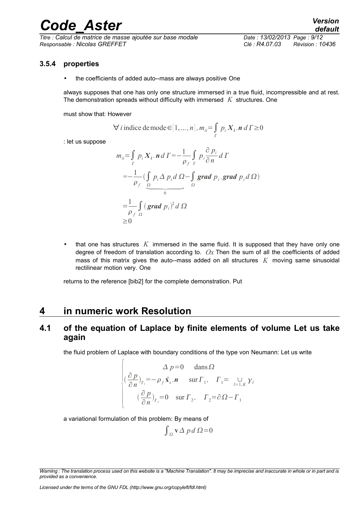*Titre : Calcul de matrice de masse ajoutée sur base modale Date : 13/02/2013 Page : 9/12 Responsable : Nicolas GREFFET Clé : R4.07.03 Révision : 10436*

#### **3.5.4 properties**

<span id="page-8-2"></span>the coefficients of added auto--mass are always positive One

always supposes that one has only one structure immersed in a true fluid, incompressible and at rest. The demonstration spreads without difficulty with immersed *K* structures. One

must show that: However

$$
\forall i \text{ induce de mode} \in [1, ..., n], m_{ii} = \int_{\Gamma} p_i X_i . \text{ n d} \Gamma \ge 0
$$

: let us suppose

$$
m_{ii} = \int_{\Gamma} p_i X_i \cdot \mathbf{n} d\Gamma = -\frac{1}{\rho_f} \int_{\Gamma} p_i \frac{\partial p_i}{\partial n} d\Gamma
$$
  
=  $-\frac{1}{\rho_f} \left( \int_{\Omega} p_i \Delta p_i d\Omega - \int_{\Omega} \mathbf{grad} p_i \cdot \mathbf{grad} p_i d\Omega \right)$   
=  $\frac{1}{\rho_f} \int_{\Omega} (\mathbf{grad} p_i)^2 d\Omega$   
 $\geq 0$ 

• that one has structures *K* immersed in the same fluid. It is supposed that they have only one degree of freedom of translation according to. *Ox* Then the sum of all the coefficients of added mass of this matrix gives the auto--mass added on all structures *K* moving same sinusoidal rectilinear motion very. One

returns to the reference [bib2] for the complete demonstration. Put

### <span id="page-8-1"></span>**4 in numeric work Resolution**

 $\sqrt{ }$ 

#### <span id="page-8-0"></span>**4.1 of the equation of Laplace by finite elements of volume Let us take again**

the fluid problem of Laplace with boundary conditions of the type von Neumann: Let us write

$$
\Delta p=0 \quad \text{dans } \Omega
$$
  

$$
\left( \frac{\partial p}{\partial n} \right)_{\Gamma_1} = -\rho_f \ddot{\mathbf{x}}_s \cdot \mathbf{n} \quad \text{sur } \Gamma_1, \quad \Gamma_1 = \bigcup_{l=1,K} \gamma_l
$$
  

$$
\left( \frac{\partial p}{\partial n} \right)_{\Gamma_2} = 0 \quad \text{sur } \Gamma_2, \quad \Gamma_2 = \partial \Omega - \Gamma_1
$$

a variational formulation of this problem: By means of

$$
\int_{\Omega} \mathbf{v} \Delta p \, d \Omega = 0
$$

*Warning : The translation process used on this website is a "Machine Translation". It may be imprecise and inaccurate in whole or in part and is provided as a convenience.*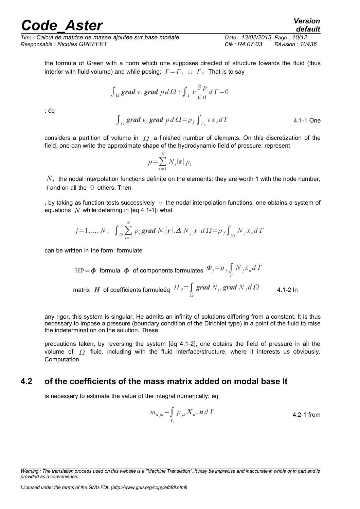*Titre : Calcul de matrice de masse ajoutée sur base modale Date : 13/02/2013 Page : 10/12 Responsable : Nicolas GREFFET Clé : R4.07.03 Révision : 10436*

the formula of Green with a norm which one supposes directed of structure towards the fluid (thus

$$
\int_{\Omega} \mathbf{grad} \, v. \, \mathbf{grad} \, p \, d \, \Omega + \int_{\Gamma} v \frac{\partial p}{\partial n} \, d \, \Gamma = 0
$$

interior with fluid volume) and while posing:  $T = \Gamma_1 \cup \Gamma_2$  That is to say

: éq

 $\int_{\Omega}$  grad *v* . grad  $p d \Omega = \rho_f \int_{\Gamma_1} v \dot{x}_n d\Gamma$  4.1-1 One

considers a partition of volume in  $\Omega$  a finished number of elements. On this discretization of the field, one can write the approximate shape of the hydrodynamic field of pressure: represent

$$
p = \sum_{i=1}^{N} N_i(\mathbf{r}) p_i
$$

 $\overline{N}_i^+$  the nodal interpolation functions definite on the elements: they are worth 1 with the node number,  $i$  and on all the  $0$  others. Then

, by taking as function-tests successively  $\gamma$  the nodal interpolation functions, one obtains a system of equations *N* while deferring in [éq 4.1-1]: what

$$
j=1,\ldots,N; \int_{\Omega}\sum_{i=1}^{N} p_{i} \text{grad } N_{i}|\mathbf{r}|.\Delta N_{j}|\mathbf{r}|d\Omega = \rho_{f} \int_{\gamma_{1}} N_{j}\ddot{x}_{n}d\Gamma
$$

can be written in the form: formulate

$$
HP = \Phi \text{ formula } \Phi \text{ of components formulates } \Phi_j = \rho_f \int\limits_{\Gamma} N_j \ddot{x}_n d\Gamma
$$
  
matrix *H* of coefficients formulaeig  $H_{ij} = \int\limits_{\Omega} grad \ N_i \text{. grad } N_j d\Omega$  4.1-2 ln

any rigor, this system is singular. He admits an infinity of solutions differing from a constant. It is thus necessary to impose a pressure (boundary condition of the Dirichlet type) in a point of the fluid to raise the indetermination on the solution. These

precautions taken, by reversing the system [éq 4.1-2], one obtains the field of pressure in all the volume of  $\Omega$  fluid, including with the fluid interface/structure, where it interests us obviously. Computation

#### **4.2 of the coefficients of the mass matrix added on modal base It**

<span id="page-9-0"></span>is necessary to estimate the value of the integral numerically: éq

$$
m_{iljk} = \int_{\gamma_l} p_{jk} X_{il} \cdot \mathbf{n} \, d\,\Gamma
$$
 4.2-1 from

*Warning : The translation process used on this website is a "Machine Translation". It may be imprecise and inaccurate in whole or in part and is provided as a convenience.*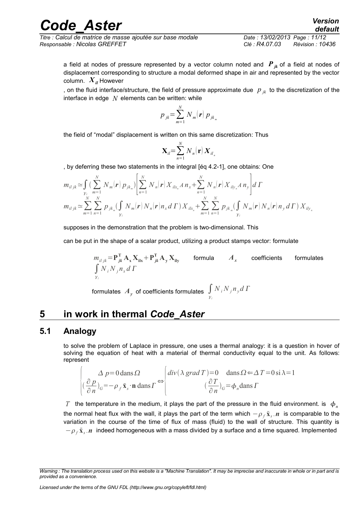*Titre : Calcul de matrice de masse ajoutée sur base modale Date : 13/02/2013 Page : 11/12 Responsable : Nicolas GREFFET Clé : R4.07.03 Révision : 10436*

a field at nodes of pressure represented by a vector column noted and  $P_{ik}$  of a field at nodes of displacement corresponding to structure a modal deformed shape in air and represented by the vector column.  $X_{ii}$  However

, on the fluid interface/structure, the field of pressure approximate due  $p_{ik}$  to the discretization of the interface in edge *N* elements can be written: while

$$
p_{jk} = \sum_{m=1}^{N} N_m(\mathbf{r}) p_{jk_m}
$$

the field of "modal" displacement is written on this same discretization: Thus

$$
\mathbf{X}_{il} = \sum_{n=1}^{N} N_n(\mathbf{r}) \mathbf{X}_{il_n}
$$

, by deferring these two statements in the integral [éq 4.2-1], one obtains: One

$$
m_{il\ jk} \simeq \int_{\substack{y_i \\ y_i}} \left( \sum_{m=1}^N N_m(\mathbf{r}) p_{jk_m} \right) \left| \sum_{n=1}^N N_n(\mathbf{r}) X_{ik_n} A n_x + \sum_{n=1}^N N_n(\mathbf{r}) X_{ik_n} A n_y \right| d\Gamma
$$
  
\n
$$
m_{il\ jk} \simeq \sum_{m=1}^N \sum_{n=1}^N p_{jk_m} \left( \int_{\substack{y_i \\ y_i}} N_m(\mathbf{r}) N_n(\mathbf{r}) n_x d\Gamma \right) X_{ik_n} + \sum_{m=1}^N \sum_{n=1}^N p_{jk_m} \left( \int_{\substack{y_i \\ y_i}} N_m(\mathbf{r}) N_n(\mathbf{r}) n_y d\Gamma \right) X_{ik_n}
$$

supposes in the demonstration that the problem is two-dimensional. This

can be put in the shape of a scalar product, utilizing a product stamps vector: formulate

$$
m_{i l j k} = \mathbf{P}_{j k}^{\mathrm{T}} \mathbf{A}_{x} \mathbf{X}_{i k} + \mathbf{P}_{j k}^{\mathrm{T}} \mathbf{A}_{y} \mathbf{X}_{i k}
$$
 formula  $A_{x}$  coefficients formulas  

$$
\int_{\gamma_{i}} N_{i} N_{j} n_{x} d \Gamma
$$

formulates  $\left. A_{_{\mathcal{Y}}}\right.$  of coefficients formulates  $\left. \int\right.$ *l*  $N_i N_j n_y d\Gamma$ 

## <span id="page-10-1"></span>**5 in work in thermal** *Code\_Aster*

#### **5.1 Analogy**

<span id="page-10-0"></span>to solve the problem of Laplace in pressure, one uses a thermal analogy: it is a question in hover of solving the equation of heat with a material of thermal conductivity equal to the unit. As follows: represent

$$
\begin{cases}\n\Delta p = 0 \text{ dans } \Omega \\
\left(\frac{\partial p}{\partial n}\right)_G = -\rho_f \dot{\mathbf{x}}_s \cdot \mathbf{n} \text{ dans } \Gamma\n\end{cases} \Leftrightarrow \begin{cases}\n\text{div}(\lambda \text{ grad } T) = 0 \quad \text{ dans } \Omega \in \Delta \text{ } T = 0 \text{ si } \lambda = 1 \\
\left(\frac{\partial T}{\partial n}\right)_G = \phi_n \text{ dans } \Gamma\n\end{cases}
$$

*T* the temperature in the medium, it plays the part of the pressure in the fluid environment. is  $\phi_n$ the normal heat flux with the wall, it plays the part of the term which  $-\rho_{f} \ddot{\textbf{x}}_{s}$  *n* is comparable to the variation in the course of the time of flux of mass (fluid) to the wall of structure. This quantity is  $-\rho_f$  **x**<sub>s</sub> *n* indeed homogeneous with a mass divided by a surface and a time squared. Implemented

*Warning : The translation process used on this website is a "Machine Translation". It may be imprecise and inaccurate in whole or in part and is provided as a convenience.*